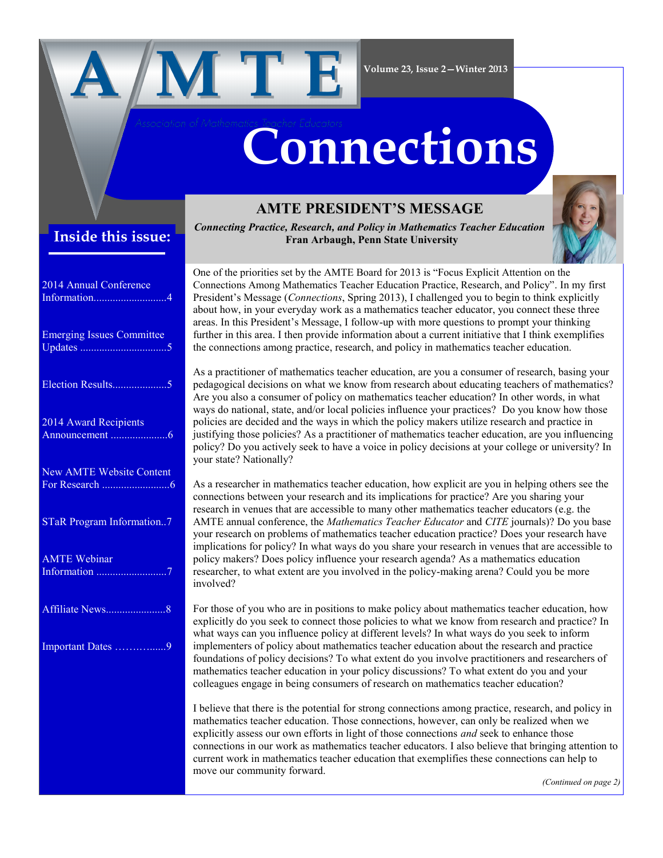

#### **Volume 23, Issue 2—Winter 2013**

## **Inside this issue:**

| 2014 Annual Conference           |
|----------------------------------|
| <b>Emerging Issues Committee</b> |
| Election Results5                |
| 2014 Award Recipients            |
| <b>New AMTE Website Content</b>  |
| <b>STaR Program Information7</b> |
| <b>AMTE Webinar</b>              |
|                                  |
| Important Dates 9                |
|                                  |
|                                  |

## **AMTE PRESIDENT'S MESSAGE**

**Connections**

*Connecting Practice, Research, and Policy in Mathematics Teacher Education* **Fran Arbaugh, Penn State University**

One of the priorities set by the AMTE Board for 2013 is "Focus Explicit Attention on the Connections Among Mathematics Teacher Education Practice, Research, and Policy". In my first President's Message (*Connections*, Spring 2013), I challenged you to begin to think explicitly about how, in your everyday work as a mathematics teacher educator, you connect these three areas. In this President's Message, I follow-up with more questions to prompt your thinking further in this area. I then provide information about a current initiative that I think exemplifies the connections among practice, research, and policy in mathematics teacher education.

As a practitioner of mathematics teacher education, are you a consumer of research, basing your pedagogical decisions on what we know from research about educating teachers of mathematics? Are you also a consumer of policy on mathematics teacher education? In other words, in what ways do national, state, and/or local policies influence your practices? Do you know how those policies are decided and the ways in which the policy makers utilize research and practice in justifying those policies? As a practitioner of mathematics teacher education, are you influencing policy? Do you actively seek to have a voice in policy decisions at your college or university? In your state? Nationally?

As a researcher in mathematics teacher education, how explicit are you in helping others see the connections between your research and its implications for practice? Are you sharing your research in venues that are accessible to many other mathematics teacher educators (e.g. the AMTE annual conference, the *Mathematics Teacher Educator* and *CITE* journals)? Do you base your research on problems of mathematics teacher education practice? Does your research have implications for policy? In what ways do you share your research in venues that are accessible to policy makers? Does policy influence your research agenda? As a mathematics education researcher, to what extent are you involved in the policy-making arena? Could you be more involved?

For those of you who are in positions to make policy about mathematics teacher education, how explicitly do you seek to connect those policies to what we know from research and practice? In what ways can you influence policy at different levels? In what ways do you seek to inform implementers of policy about mathematics teacher education about the research and practice foundations of policy decisions? To what extent do you involve practitioners and researchers of mathematics teacher education in your policy discussions? To what extent do you and your colleagues engage in being consumers of research on mathematics teacher education?

I believe that there is the potential for strong connections among practice, research, and policy in mathematics teacher education. Those connections, however, can only be realized when we explicitly assess our own efforts in light of those connections *and* seek to enhance those connections in our work as mathematics teacher educators. I also believe that bringing attention to current work in mathematics teacher education that exemplifies these connections can help to move our community forward.

*(Continued on page 2)*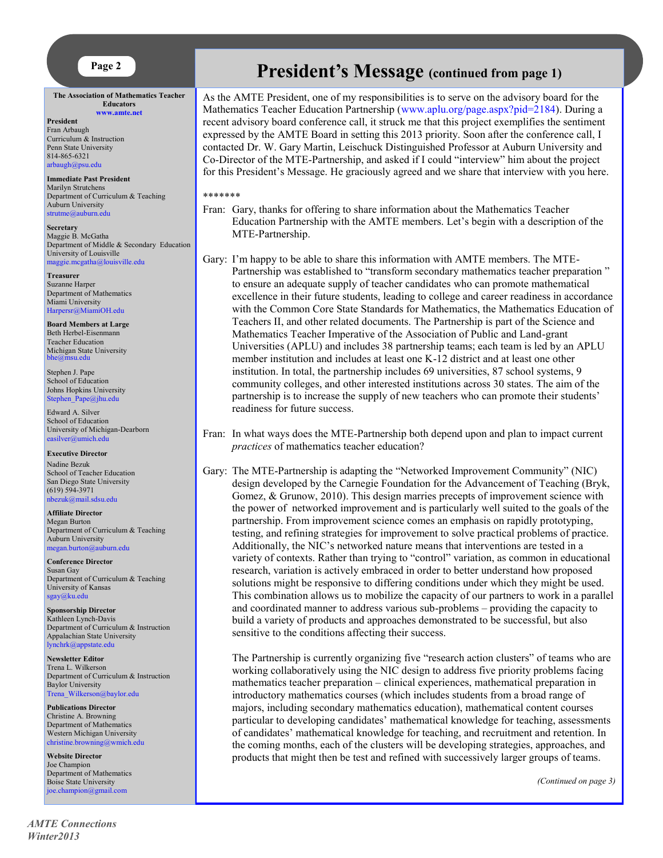**The Association of Mathematics Teacher Educators [www.amte.net](http://www.amte.net)**

**President** Fran Arbaugh

Curriculum & Instruction Penn State University 814-865-6321 [arbaugh@psu.edu](mailto:arbaugh@psu.edu)

**Immediate Past President** Marilyn Strutchens Department of Curriculum & Teaching Auburn University [strutme@auburn.edu](mailto:strutme@auburn.edu) 

**Secretary** Maggie B. McGatha Department of Middle & Secondary Education University of Louisville [maggie.mcgatha@louisville.edu](mailto:maggie.mcgatha@louisville.edu) 

**Treasurer** Suzanne Harper Department of Mathematics Miami University [Harpersr@MiamiOH.edu](mailto:Harpersr@MiamiOH.edu)

**Board Members at Large** Beth Herbel-Eisenmann Teacher Education Michigan State University<br>[bhe@msu.edu](mailto:bhe@msu.edu)

Stephen J. Pape School of Education Johns Hopkins University [Stephen\\_Pape@jhu.edu](mailto:Stephen_Pape@jhu.edu)

Edward A. Silver School of Education University of Michigan-Dearborn [easilver@umich.edu](mailto:easilver@umich.edu)

**Executive Director** Nadine Bezuk School of Teacher Education San Diego State University (619) 594-3971 [nbezuk@mail.sdsu.edu](mailto:nbezuk@mail.sdsu.edu)

**Affiliate Director** Megan Burton Department of Curriculum & Teaching Auburn University [megan.burton@auburn.edu](mailto:megan.burton@auburn.edu)

**Conference Director** Susan Gay Department of Curriculum & Teaching University of Kansas [sgay@ku.edu](mailto:sgay@ku.edu)

**Sponsorship Director** Kathleen Lynch-Davis Department of Curriculum & Instruction Appalachian State University [lynchrk@appstate.edu](mailto:lynchrk@appstate.edu)

**Newsletter Editor** Trena L. Wilkerson Department of Curriculum & Instruction Baylor University [Trena\\_Wilkerson@baylor.edu](mailto:Trena_Wilkerson@baylor.edu)

**Publications Director** Christine A. Browning Department of Mathematics Western Michigan University [christine.browning@wmich.edu](mailto:christine.browning@wmich.edu)

**Website Director** Joe Champion Department of Mathematics Boise State University [joe.champion@gmail.com](mailto:joe.champion@gmail.com)

# **Page 2 President's Message** (continued from page 1)

As the AMTE President, one of my responsibilities is to serve on the advisory board for the Mathematics Teacher Education Partnership ([www.aplu.org/page.aspx?pid=2184\).](http://www.aplu.org/page.aspx?pid=2184) During a recent advisory board conference call, it struck me that this project exemplifies the sentiment expressed by the AMTE Board in setting this 2013 priority. Soon after the conference call, I contacted Dr. W. Gary Martin, Leischuck Distinguished Professor at Auburn University and Co-Director of the MTE-Partnership, and asked if I could "interview" him about the project for this President's Message. He graciously agreed and we share that interview with you here.

#### \*\*\*\*\*\*\*

- Fran: Gary, thanks for offering to share information about the Mathematics Teacher Education Partnership with the AMTE members. Let's begin with a description of the MTE-Partnership.
- Gary: I'm happy to be able to share this information with AMTE members. The MTE-Partnership was established to "transform secondary mathematics teacher preparation " to ensure an adequate supply of teacher candidates who can promote mathematical excellence in their future students, leading to college and career readiness in accordance with the Common Core State Standards for Mathematics, the Mathematics Education of Teachers II, and other related documents. The Partnership is part of the Science and Mathematics Teacher Imperative of the Association of Public and Land-grant Universities (APLU) and includes 38 partnership teams; each team is led by an APLU member institution and includes at least one K-12 district and at least one other institution. In total, the partnership includes 69 universities, 87 school systems, 9 community colleges, and other interested institutions across 30 states. The aim of the partnership is to increase the supply of new teachers who can promote their students' readiness for future success.
- Fran: In what ways does the MTE-Partnership both depend upon and plan to impact current *practices* of mathematics teacher education?

Gary: The MTE-Partnership is adapting the "Networked Improvement Community" (NIC) design developed by the Carnegie Foundation for the Advancement of Teaching (Bryk, Gomez, & Grunow, 2010). This design marries precepts of improvement science with the power of networked improvement and is particularly well suited to the goals of the partnership. From improvement science comes an emphasis on rapidly prototyping, testing, and refining strategies for improvement to solve practical problems of practice. Additionally, the NIC's networked nature means that interventions are tested in a variety of contexts. Rather than trying to "control" variation, as common in educational research, variation is actively embraced in order to better understand how proposed solutions might be responsive to differing conditions under which they might be used. This combination allows us to mobilize the capacity of our partners to work in a parallel and coordinated manner to address various sub-problems – providing the capacity to build a variety of products and approaches demonstrated to be successful, but also sensitive to the conditions affecting their success.

The Partnership is currently organizing five "research action clusters" of teams who are working collaboratively using the NIC design to address five priority problems facing mathematics teacher preparation – clinical experiences, mathematical preparation in introductory mathematics courses (which includes students from a broad range of majors, including secondary mathematics education), mathematical content courses particular to developing candidates' mathematical knowledge for teaching, assessments of candidates' mathematical knowledge for teaching, and recruitment and retention. In the coming months, each of the clusters will be developing strategies, approaches, and products that might then be test and refined with successively larger groups of teams.

*(Continued on page 3)*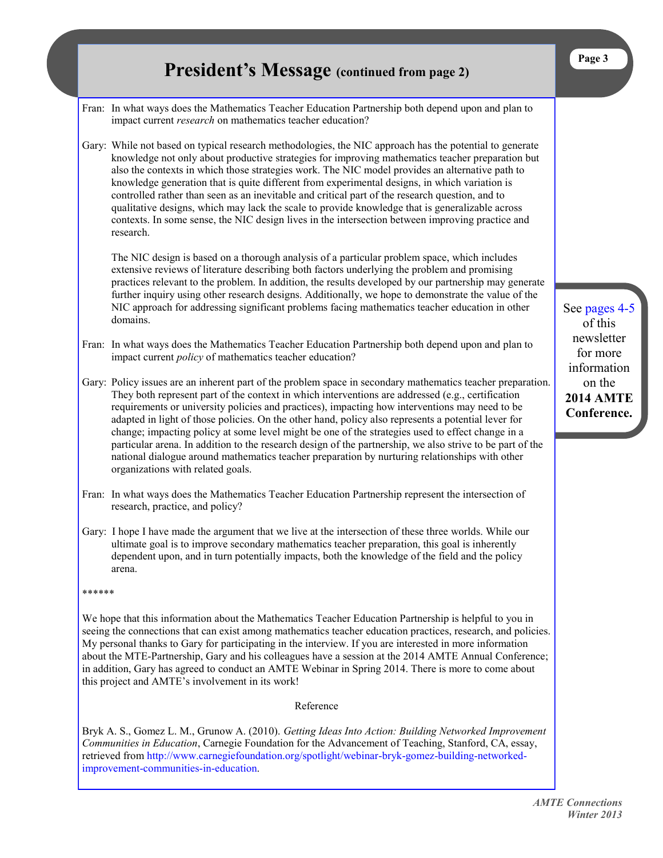|        | <b>President's Message</b> (continued from page 2)                                                                                                                                                                                                                                                                                                                                                                                                                                                                                                                                                                                                                                                                                                                                | Page 3                                                                             |
|--------|-----------------------------------------------------------------------------------------------------------------------------------------------------------------------------------------------------------------------------------------------------------------------------------------------------------------------------------------------------------------------------------------------------------------------------------------------------------------------------------------------------------------------------------------------------------------------------------------------------------------------------------------------------------------------------------------------------------------------------------------------------------------------------------|------------------------------------------------------------------------------------|
|        | Fran: In what ways does the Mathematics Teacher Education Partnership both depend upon and plan to<br>impact current research on mathematics teacher education?                                                                                                                                                                                                                                                                                                                                                                                                                                                                                                                                                                                                                   |                                                                                    |
|        | Gary: While not based on typical research methodologies, the NIC approach has the potential to generate<br>knowledge not only about productive strategies for improving mathematics teacher preparation but<br>also the contexts in which those strategies work. The NIC model provides an alternative path to<br>knowledge generation that is quite different from experimental designs, in which variation is<br>controlled rather than seen as an inevitable and critical part of the research question, and to<br>qualitative designs, which may lack the scale to provide knowledge that is generalizable across<br>contexts. In some sense, the NIC design lives in the intersection between improving practice and<br>research.                                            |                                                                                    |
|        | The NIC design is based on a thorough analysis of a particular problem space, which includes<br>extensive reviews of literature describing both factors underlying the problem and promising<br>practices relevant to the problem. In addition, the results developed by our partnership may generate<br>further inquiry using other research designs. Additionally, we hope to demonstrate the value of the<br>NIC approach for addressing significant problems facing mathematics teacher education in other<br>domains.                                                                                                                                                                                                                                                        | See pages 4-5<br>of this                                                           |
|        | Fran: In what ways does the Mathematics Teacher Education Partnership both depend upon and plan to<br>impact current <i>policy</i> of mathematics teacher education?                                                                                                                                                                                                                                                                                                                                                                                                                                                                                                                                                                                                              | newsletter<br>for more<br>information<br>on the<br><b>2014 AMTE</b><br>Conference. |
|        | Gary: Policy issues are an inherent part of the problem space in secondary mathematics teacher preparation.<br>They both represent part of the context in which interventions are addressed (e.g., certification<br>requirements or university policies and practices), impacting how interventions may need to be<br>adapted in light of those policies. On the other hand, policy also represents a potential lever for<br>change; impacting policy at some level might be one of the strategies used to effect change in a<br>particular arena. In addition to the research design of the partnership, we also strive to be part of the<br>national dialogue around mathematics teacher preparation by nurturing relationships with other<br>organizations with related goals. |                                                                                    |
|        | Fran: In what ways does the Mathematics Teacher Education Partnership represent the intersection of<br>research, practice, and policy?                                                                                                                                                                                                                                                                                                                                                                                                                                                                                                                                                                                                                                            |                                                                                    |
|        | Gary: I hope I have made the argument that we live at the intersection of these three worlds. While our<br>ultimate goal is to improve secondary mathematics teacher preparation, this goal is inherently<br>dependent upon, and in turn potentially impacts, both the knowledge of the field and the policy<br>arena.                                                                                                                                                                                                                                                                                                                                                                                                                                                            |                                                                                    |
| ****** |                                                                                                                                                                                                                                                                                                                                                                                                                                                                                                                                                                                                                                                                                                                                                                                   |                                                                                    |
|        | We hope that this information about the Mathematics Teacher Education Partnership is helpful to you in<br>seeing the connections that can exist among mathematics teacher education practices, research, and policies.<br>My personal thanks to Gary for participating in the interview. If you are interested in more information<br>about the MTE-Partnership, Gary and his colleagues have a session at the 2014 AMTE Annual Conference;<br>in addition, Gary has agreed to conduct an AMTE Webinar in Spring 2014. There is more to come about<br>this project and AMTE's involvement in its work!                                                                                                                                                                            |                                                                                    |
|        | Reference                                                                                                                                                                                                                                                                                                                                                                                                                                                                                                                                                                                                                                                                                                                                                                         |                                                                                    |
|        | Bryk A. S., Gomez L. M., Grunow A. (2010). Getting Ideas Into Action: Building Networked Improvement                                                                                                                                                                                                                                                                                                                                                                                                                                                                                                                                                                                                                                                                              |                                                                                    |

Bryk A. S., Gomez L. M., Grunow A. (2010). *Getting Ideas Into Action: Building Networked Improvement Communities in Education*, Carnegie Foundation for the Advancement of Teaching, Stanford, CA, essay, retrieved from [http://www.carnegiefoundation.org/spotlight/webinar-bryk-gomez-building-networked](http://www.carnegiefoundation.org/spotlight/webinar-bryk-gomez-building-networked-improvement-communities-in-education)[improvement-communities-in-education.](http://www.carnegiefoundation.org/spotlight/webinar-bryk-gomez-building-networked-improvement-communities-in-education)

> *AMTE Connections Winter 2013*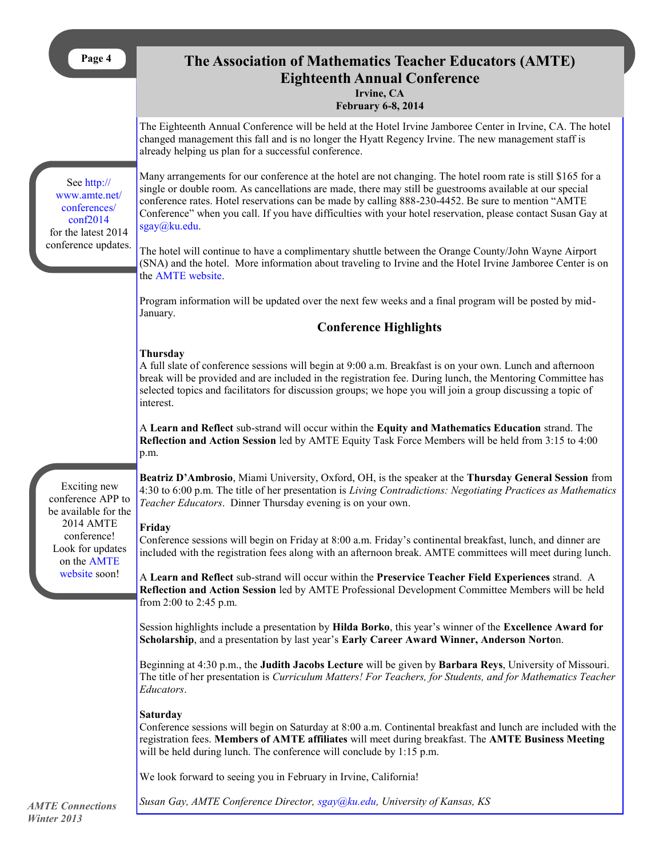# **The Association of Mathematics Teacher Educators (AMTE) Eighteenth Annual Conference**

**Irvine, CA**

#### **February 6-8, 2014**

<span id="page-3-0"></span>

|                                                                                 | <b>February 0-8, 2014</b>                                                                                                                                                                                                                                                                                                                                                                                                                                      |  |  |
|---------------------------------------------------------------------------------|----------------------------------------------------------------------------------------------------------------------------------------------------------------------------------------------------------------------------------------------------------------------------------------------------------------------------------------------------------------------------------------------------------------------------------------------------------------|--|--|
|                                                                                 | The Eighteenth Annual Conference will be held at the Hotel Irvine Jamboree Center in Irvine, CA. The hotel<br>changed management this fall and is no longer the Hyatt Regency Irvine. The new management staff is<br>already helping us plan for a successful conference.                                                                                                                                                                                      |  |  |
| See http://<br>www.amte.net/<br>conferences/<br>conf2014<br>for the latest 2014 | Many arrangements for our conference at the hotel are not changing. The hotel room rate is still \$165 for a<br>single or double room. As cancellations are made, there may still be guestrooms available at our special<br>conference rates. Hotel reservations can be made by calling 888-230-4452. Be sure to mention "AMTE<br>Conference" when you call. If you have difficulties with your hotel reservation, please contact Susan Gay at<br>sgay@ku.edu. |  |  |
| conference updates.                                                             | The hotel will continue to have a complimentary shuttle between the Orange County/John Wayne Airport<br>(SNA) and the hotel. More information about traveling to Irvine and the Hotel Irvine Jamboree Center is on<br>the AMTE website.                                                                                                                                                                                                                        |  |  |
|                                                                                 | Program information will be updated over the next few weeks and a final program will be posted by mid-<br>January.                                                                                                                                                                                                                                                                                                                                             |  |  |
|                                                                                 | <b>Conference Highlights</b>                                                                                                                                                                                                                                                                                                                                                                                                                                   |  |  |
|                                                                                 | <b>Thursday</b><br>A full slate of conference sessions will begin at 9:00 a.m. Breakfast is on your own. Lunch and afternoon<br>break will be provided and are included in the registration fee. During lunch, the Mentoring Committee has<br>selected topics and facilitators for discussion groups; we hope you will join a group discussing a topic of<br>interest.                                                                                         |  |  |
|                                                                                 | A Learn and Reflect sub-strand will occur within the Equity and Mathematics Education strand. The<br>Reflection and Action Session led by AMTE Equity Task Force Members will be held from 3:15 to 4:00<br>p.m.                                                                                                                                                                                                                                                |  |  |
| Exciting new<br>conference APP to<br>be available for the                       | Beatriz D'Ambrosio, Miami University, Oxford, OH, is the speaker at the Thursday General Session from<br>4:30 to 6:00 p.m. The title of her presentation is Living Contradictions: Negotiating Practices as Mathematics<br>Teacher Educators. Dinner Thursday evening is on your own.                                                                                                                                                                          |  |  |
| 2014 AMTE<br>conference!<br>Look for updates<br>on the AMTE                     | Friday<br>Conference sessions will begin on Friday at 8:00 a.m. Friday's continental breakfast, lunch, and dinner are<br>included with the registration fees along with an afternoon break. AMTE committees will meet during lunch.                                                                                                                                                                                                                            |  |  |
| website soon!                                                                   | A Learn and Reflect sub-strand will occur within the Preservice Teacher Field Experiences strand. A<br>Reflection and Action Session led by AMTE Professional Development Committee Members will be held<br>from 2:00 to 2:45 p.m.                                                                                                                                                                                                                             |  |  |
|                                                                                 | Session highlights include a presentation by Hilda Borko, this year's winner of the Excellence Award for<br>Scholarship, and a presentation by last year's Early Career Award Winner, Anderson Norton.                                                                                                                                                                                                                                                         |  |  |
|                                                                                 | Beginning at 4:30 p.m., the Judith Jacobs Lecture will be given by Barbara Reys, University of Missouri.<br>The title of her presentation is Curriculum Matters! For Teachers, for Students, and for Mathematics Teacher<br>Educators.                                                                                                                                                                                                                         |  |  |
|                                                                                 | <b>Saturday</b><br>Conference sessions will begin on Saturday at 8:00 a.m. Continental breakfast and lunch are included with the<br>registration fees. Members of AMTE affiliates will meet during breakfast. The AMTE Business Meeting<br>will be held during lunch. The conference will conclude by 1:15 p.m.                                                                                                                                                |  |  |
|                                                                                 | We look forward to seeing you in February in Irvine, California!                                                                                                                                                                                                                                                                                                                                                                                               |  |  |

*Susan Gay, AMTE Conference Director, [sgay@ku.edu,](mailto:sgay@ku.edu) University of Kansas, KS*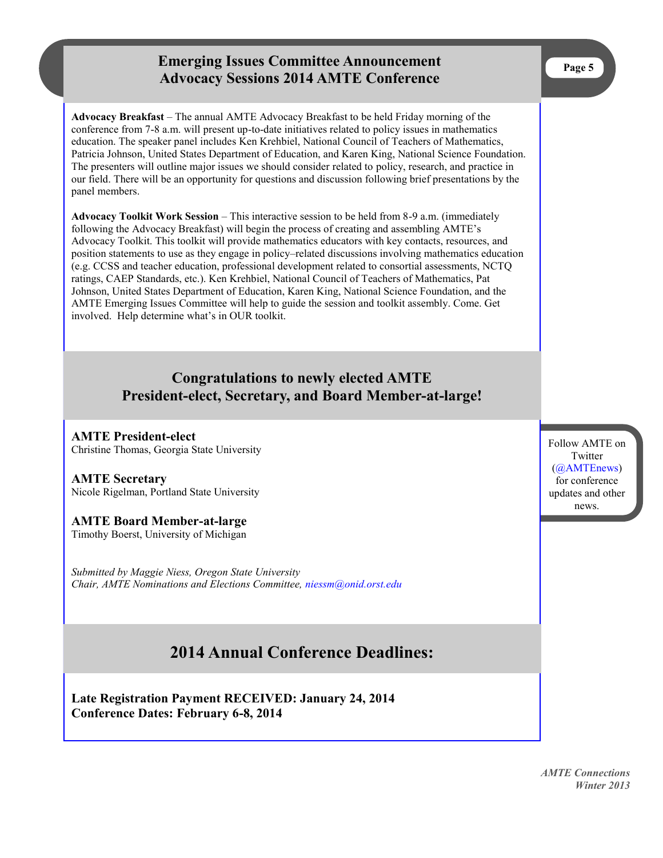## **Emerging Issues Committee Announcement Advocacy Sessions 2014 AMTE Conference**

<span id="page-4-0"></span>**Advocacy Breakfast** – The annual AMTE Advocacy Breakfast to be held Friday morning of the conference from 7-8 a.m. will present up-to-date initiatives related to policy issues in mathematics education. The speaker panel includes Ken Krehbiel, National Council of Teachers of Mathematics, Patricia Johnson, United States Department of Education, and Karen King, National Science Foundation. The presenters will outline major issues we should consider related to policy, research, and practice in our field. There will be an opportunity for questions and discussion following brief presentations by the panel members.

**Advocacy Toolkit Work Session** – This interactive session to be held from 8-9 a.m. (immediately following the Advocacy Breakfast) will begin the process of creating and assembling AMTE's Advocacy Toolkit. This toolkit will provide mathematics educators with key contacts, resources, and position statements to use as they engage in policy–related discussions involving mathematics education (e.g. CCSS and teacher education, professional development related to consortial assessments, NCTQ ratings, CAEP Standards, etc.). Ken Krehbiel, National Council of Teachers of Mathematics, Pat Johnson, United States Department of Education, Karen King, National Science Foundation, and the AMTE Emerging Issues Committee will help to guide the session and toolkit assembly. Come. Get involved. Help determine what's in OUR toolkit.

## **Congratulations to newly elected AMTE President-elect, Secretary, and Board Member-at-large!**

**AMTE President-elect** Christine Thomas, Georgia State University

#### **AMTE Secretary** Nicole Rigelman, Portland State University

### **AMTE Board Member-at-large**

Timothy Boerst, University of Michigan

*Submitted by Maggie Niess, Oregon State University Chair, AMTE Nominations and Elections Committee, [niessm@onid.orst.edu](mailto:niessm@onid.orst.edu)*

# **2014 Annual Conference Deadlines:**

**Late Registration Payment RECEIVED: January 24, 2014 Conference Dates: February 6-8, 2014**

Follow AMTE on **Twitter** [\(@AMTEnews\)](https://twitter.com/AMTENews)  for conference updates and other news.

*AMTE Connections Winter 2013*

**Page 5**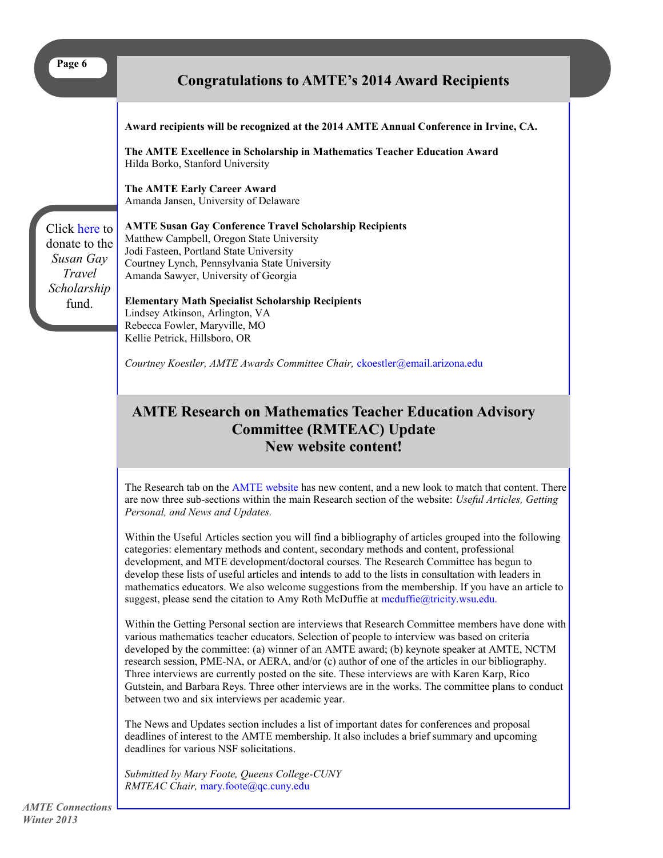<span id="page-5-0"></span>

|--|

## **Congratulations to AMTE's 2014 Award Recipients**

| Click here to<br>donate to the<br>Susan Gay<br>Travel<br>Scholarship<br>fund. | Award recipients will be recognized at the 2014 AMTE Annual Conference in Irvine, CA.<br>The AMTE Excellence in Scholarship in Mathematics Teacher Education Award<br>Hilda Borko, Stanford University<br>The AMTE Early Career Award<br>Amanda Jansen, University of Delaware<br><b>AMTE Susan Gay Conference Travel Scholarship Recipients</b><br>Matthew Campbell, Oregon State University<br>Jodi Fasteen, Portland State University<br>Courtney Lynch, Pennsylvania State University<br>Amanda Sawyer, University of Georgia<br><b>Elementary Math Specialist Scholarship Recipients</b><br>Lindsey Atkinson, Arlington, VA<br>Rebecca Fowler, Maryville, MO<br>Kellie Petrick, Hillsboro, OR<br>Courtney Koestler, AMTE Awards Committee Chair, ckoestler@email.arizona.edu |
|-------------------------------------------------------------------------------|-----------------------------------------------------------------------------------------------------------------------------------------------------------------------------------------------------------------------------------------------------------------------------------------------------------------------------------------------------------------------------------------------------------------------------------------------------------------------------------------------------------------------------------------------------------------------------------------------------------------------------------------------------------------------------------------------------------------------------------------------------------------------------------|
|                                                                               | <b>AMTE Research on Mathematics Teacher Education Advisory</b><br><b>Committee (RMTEAC) Update</b><br>New website content!                                                                                                                                                                                                                                                                                                                                                                                                                                                                                                                                                                                                                                                        |

The Research tab on the [AMTE website](http://www.amte.net) has new content, and a new look to match that content. There are now three sub-sections within the main Research section of the website: *Useful Articles, Getting Personal, and News and Updates.*

Within the Useful Articles section you will find a bibliography of articles grouped into the following categories: elementary methods and content, secondary methods and content, professional development, and MTE development/doctoral courses. The Research Committee has begun to develop these lists of useful articles and intends to add to the lists in consultation with leaders in mathematics educators. We also welcome suggestions from the membership. If you have an article to suggest, please send the citation to Amy Roth McDuffie at mcduffie@tricity.wsu.edu.

Within the Getting Personal section are interviews that Research Committee members have done with various mathematics teacher educators. Selection of people to interview was based on criteria developed by the committee: (a) winner of an AMTE award; (b) keynote speaker at AMTE, NCTM research session, PME-NA, or AERA, and/or (c) author of one of the articles in our bibliography. Three interviews are currently posted on the site. These interviews are with Karen Karp, Rico Gutstein, and Barbara Reys. Three other interviews are in the works. The committee plans to conduct between two and six interviews per academic year.

The News and Updates section includes a list of important dates for conferences and proposal deadlines of interest to the AMTE membership. It also includes a brief summary and upcoming deadlines for various NSF solicitations.

*Submitted by Mary Foote, Queens College-CUNY RMTEAC Chair,* [mary.foote@qc.cuny.edu](mailto:mary.foote@qc.cuny.edu)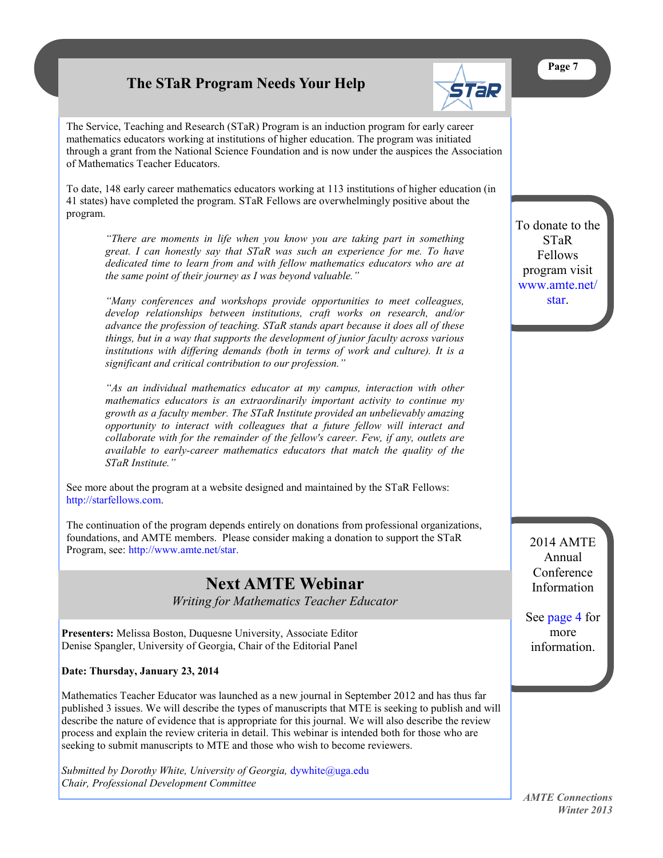# **The STaR Program Needs Your Help**



<span id="page-6-0"></span>The Service, Teaching and Research (STaR) Program is an induction program for early career mathematics educators working at institutions of higher education. The program was initiated through a grant from the National Science Foundation and is now under the auspices the Association of Mathematics Teacher Educators.

To date, 148 early career mathematics educators working at 113 institutions of higher education (in 41 states) have completed the program. STaR Fellows are overwhelmingly positive about the program.

*"There are moments in life when you know you are taking part in something great. I can honestly say that STaR was such an experience for me. To have dedicated time to learn from and with fellow mathematics educators who are at the same point of their journey as I was beyond valuable."* 

*"Many conferences and workshops provide opportunities to meet colleagues, develop relationships between institutions, craft works on research, and/or advance the profession of teaching. STaR stands apart because it does all of these things, but in a way that supports the development of junior faculty across various institutions with differing demands (both in terms of work and culture). It is a significant and critical contribution to our profession."*

*"As an individual mathematics educator at my campus, interaction with other mathematics educators is an extraordinarily important activity to continue my growth as a faculty member. The STaR Institute provided an unbelievably amazing opportunity to interact with colleagues that a future fellow will interact and collaborate with for the remainder of the fellow's career. Few, if any, outlets are available to early-career mathematics educators that match the quality of the STaR Institute."*

See more about the program at a website designed and maintained by the STaR Fellows: [http://starfellows.com.](http://starfellows.com/)

The continuation of the program depends entirely on donations from professional organizations, foundations, and AMTE members. Please consider making a donation to support the STaR Program, see: [http://www.amte.net/star.](http://www.amte.net/star)

# **Next AMTE Webinar**

*Writing for Mathematics Teacher Educator*

**Presenters:** Melissa Boston, Duquesne University, Associate Editor Denise Spangler, University of Georgia, Chair of the Editorial Panel

#### **Date: Thursday, January 23, 2014**

Mathematics Teacher Educator was launched as a new journal in September 2012 and has thus far published 3 issues. We will describe the types of manuscripts that MTE is seeking to publish and will describe the nature of evidence that is appropriate for this journal. We will also describe the review process and explain the review criteria in detail. This webinar is intended both for those who are seeking to submit manuscripts to MTE and those who wish to become reviewers.

*Submitted by Dorothy White, University of Georgia,* [dywhite@uga.edu](mailto:dywhite@uga.edu) *Chair, Professional Development Committee*

To donate to the STaR Fellows program visit [www.amte.net/](http://www.amte.net/star) [star.](http://www.amte.net/star)

> 2014 AMTE Annual Conference Information

See [page 4](#page-3-0) for more information.

*AMTE Connections Winter 2013*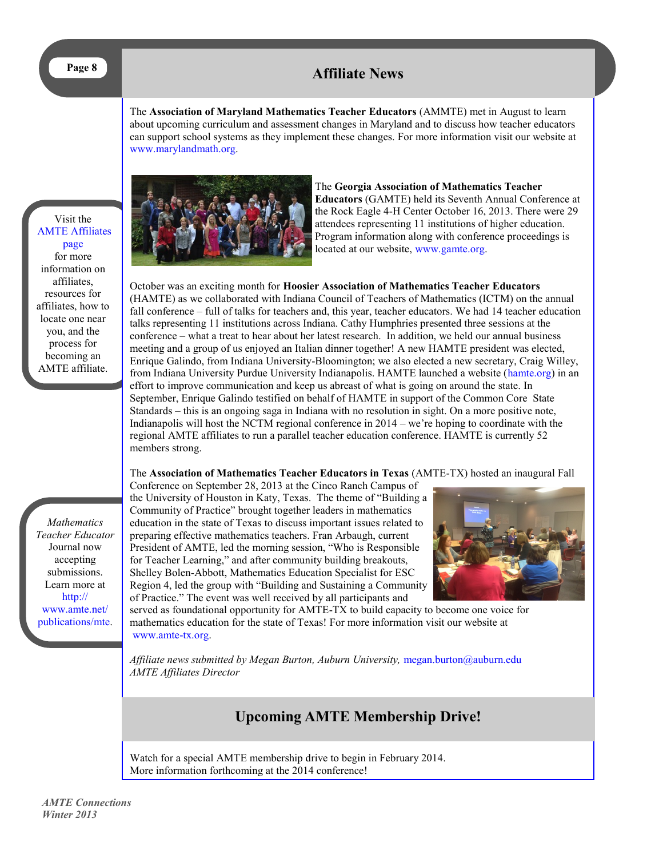# <span id="page-7-0"></span>**Page 8 Affiliate News**

The **Association of Maryland Mathematics Teacher Educators** (AMMTE) met in August to learn about upcoming curriculum and assessment changes in Maryland and to discuss how teacher educators can support school systems as they implement these changes. For more information visit our website at [www.marylandmath.org.](http://www.marylandmath.org)

Visit the [AMTE Affiliates](http://www.amte.net/affiliates)  [page](http://www.amte.net/affiliates)  for more information on affiliates, resources for affiliates, how to locate one near you, and the process for becoming an AMTE affiliate.



The **Georgia Association of Mathematics Teacher Educators** (GAMTE) held its Seventh Annual Conference at the Rock Eagle 4-H Center October 16, 2013. There were 29 attendees representing 11 institutions of higher education. Program information along with conference proceedings is located at our website, [www.gamte.org.](http://www.gamte.org)

October was an exciting month for **Hoosier Association of Mathematics Teacher Educators**  (HAMTE) as we collaborated with Indiana Council of Teachers of Mathematics (ICTM) on the annual fall conference – full of talks for teachers and, this year, teacher educators. We had 14 teacher education talks representing 11 institutions across Indiana. Cathy Humphries presented three sessions at the conference – what a treat to hear about her latest research. In addition, we held our annual business meeting and a group of us enjoyed an Italian dinner together! A new HAMTE president was elected, Enrique Galindo, from Indiana University-Bloomington; we also elected a new secretary, Craig Willey, from Indiana University Purdue University Indianapolis. HAMTE launched a website ([hamte.org\)](http://www.hamte.org) in an effort to improve communication and keep us abreast of what is going on around the state. In September, Enrique Galindo testified on behalf of HAMTE in support of the Common Core State Standards – this is an ongoing saga in Indiana with no resolution in sight. On a more positive note, Indianapolis will host the NCTM regional conference in 2014 – we're hoping to coordinate with the regional AMTE affiliates to run a parallel teacher education conference. HAMTE is currently 52 members strong.

The **Association of Mathematics Teacher Educators in Texas** (AMTE-TX) hosted an inaugural Fall

*Mathematics Teacher Educator*  Journal now accepting submissions. Learn more at [http://](http://www.amte.net/publications/mte) [www.amte.net/](http://www.amte.net/publications/mte) [publications/mte.](http://www.amte.net/publications/mte)

Conference on September 28, 2013 at the Cinco Ranch Campus of the University of Houston in Katy, Texas. The theme of "Building a Community of Practice" brought together leaders in mathematics education in the state of Texas to discuss important issues related to preparing effective mathematics teachers. Fran Arbaugh, current President of AMTE, led the morning session, "Who is Responsible for Teacher Learning," and after community building breakouts, Shelley Bolen-Abbott, Mathematics Education Specialist for ESC Region 4, led the group with "Building and Sustaining a Community of Practice." The event was well received by all participants and



served as foundational opportunity for AMTE-TX to build capacity to become one voice for mathematics education for the state of Texas! For more information visit our website at [www.amte-tx.org.](http://www.amte-tx.org)

*Affiliate news submitted by Megan Burton, Auburn University,* [megan.burton@auburn.edu](mailto:megan.burton@auburn.edu) *AMTE Affiliates Director*

## **Upcoming AMTE Membership Drive!**

Watch for a special AMTE membership drive to begin in February 2014. More information forthcoming at the 2014 conference!